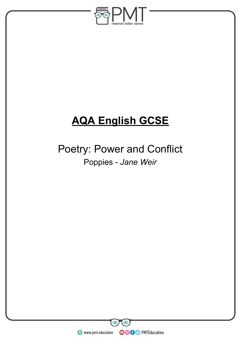

# **AQA English GCSE**

## Poetry: Power and Conflict Poppies - *Jane Weir*

**WWW.pmt.education** 

 $\bullet$ 

 $\bm{\odot}$ 

**OOOO** PMTEducation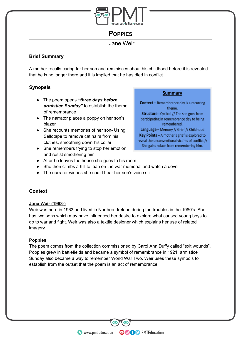

### **POPPIES**

Jane Weir

#### **Brief Summary**

A mother recalls caring for her son and reminisces about his childhood before it is revealed that he is no longer there and it is implied that he has died in conflict.

#### **Synopsis**

- The poem opens *"three days before armistice Sunday"* to establish the theme of remembrance
- The narrator places a poppy on her son's blazer
- She recounts memories of her son- Using Sellotape to remove cat hairs from his clothes, smoothing down his collar
- She remembers trying to stop her emotion and resist smothering him

#### **Summary**

**Context** - Remembrance day is a recurring theme. **Structure** - Cyclical // The son goes from participating in remembrance day to being remembered. Language - Memory // Grief // Childhood Key Points - A mother's grief is explored to reveal the unconventional victims of conflict // She gains solace from remembering him.

- After he leaves the house she goes to his room
- She then climbs a hill to lean on the war memorial and watch a dove
- The narrator wishes she could hear her son's voice still

#### **Context**

#### **Jane Weir (1963-)**

Weir was born in 1963 and lived in Northern Ireland during the troubles in the 1980's. She has two sons which may have influenced her desire to explore what caused young boys to go to war and fight. Weir was also a textile designer which explains her use of related imagery.

#### **Poppies**

The poem comes from the collection commissioned by Carol Ann Duffy called "exit wounds". Poppies grew in battlefields and became a symbol of remembrance in 1921, armistice Sunday also became a way to remember World War Two. Weir uses these symbols to establish from the outset that the poem is an act of remembrance.

**OOOO** PMTEducation

**WWW.pmt.education**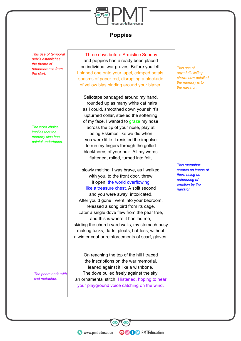

#### **Poppies**

*This use of temporal deixis establishes the theme of remembrance from the start.*

*The word choice implies that the memory also has painful undertones.*

*The poem ends with sad metaphor.*

Three days before Armistice Sunday and poppies had already been placed on individual war graves. Before you left, I pinned one onto your lapel, crimped petals, spasms of paper red, disrupting a blockade of yellow bias binding around your blazer.

Sellotape bandaged around my hand, I rounded up as many white cat hairs as I could, smoothed down your shirt's upturned collar, steeled the softening of my face. I wanted to graze my nose across the tip of your nose, play at being Eskimos like we did when you were little. I resisted the impulse to run my fingers through the gelled blackthorns of your hair. All my words flattened, rolled, turned into felt,

slowly melting. I was brave, as I walked with you, to the front door, threw it open, the world overflowing like a treasure chest. A split second and you were away, intoxicated. After you'd gone I went into your bedroom, released a song bird from its cage. Later a single dove flew from the pear tree, and this is where it has led me, skirting the church yard walls, my stomach busy making tucks, darts, pleats, hat-less, without a winter coat or reinforcements of scarf, gloves.

On reaching the top of the hill I traced the inscriptions on the war memorial, leaned against it like a wishbone. The dove pulled freely against the sky, an ornamental stitch. I listened, hoping to hear your playground voice catching on the wind.

**OOOO** PMTEducation

*This use of asyndetic listing shows how detailed the memory is to the narrator.*

*This metaphor creates an image of there being an outpouring of emotion by the narrator.*

**C** www.pmt.education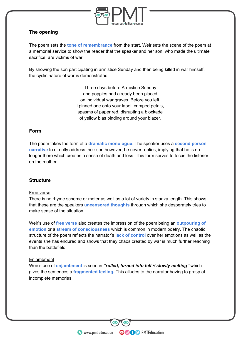

#### **The opening**

The poem sets the **tone of remembrance** from the start. Weir sets the scene of the poem at a memorial service to show the reader that the speaker and her son, who made the ultimate sacrifice, are victims of war.

By showing the son participating in armistice Sunday and then being killed in war himself, the cyclic nature of war is demonstrated.

> Three days before Armistice Sunday and poppies had already been placed on individual war graves. Before you left, I pinned one onto your lapel, crimped petals, spasms of paper red, disrupting a blockade of yellow bias binding around your blazer.

#### **Form**

The poem takes the form of a **dramatic monologue**. The speaker uses a **second person narrative** to directly address their son however, he never replies, implying that he is no longer there which creates a sense of death and loss. This form serves to focus the listener on the mother

#### **Structure**

#### Free verse

There is no rhyme scheme or meter as well as a lot of variety in stanza length. This shows that these are the speakers **uncensored thoughts** through which she desperately tries to make sense of the situation.

Weir's use of **free verse** also creates the impression of the poem being an **outpouring of emotion** or a **stream of consciousness** which is common in modern poetry. The chaotic structure of the poem reflects the narrator's **lack of control** over her emotions as well as the events she has endured and shows that they chaos created by war is much further reaching than the battlefield.

#### **Enjambment**

Weir's use of **enjambment** is seen in *"rolled, turned into felt // slowly melting"* which gives the sentences a **fragmented feeling.** This alludes to the narrator having to grasp at incomplete memories.

**OOOO** PMTEducation

**WWW.pmt.education**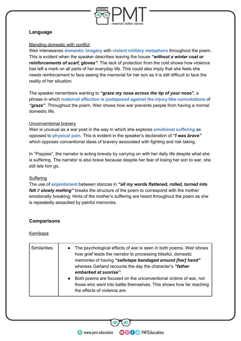

#### **Language**

#### Blending domestic with conflict

Weir interweaves **domestic imagery** with **violent military metaphors** throughout the poem. This is evident when the speaker describes leaving the house *"without a winter coat or reinforcements of scarf, gloves"*. The lack of protection from the cold shows how violence has left a mark on all parts of her everyday life. This could also imply that she feels she needs reinforcement to face seeing the memorial for her son as it is still difficult to face the reality of her situation.

The speaker remembers wanting to *"graze my nose across the tip of your nose"*, a phrase in which **maternal affection is juxtaposed against the injury-like connotations** of *"graze"*. Throughout the poem, Weir shows how war prevents people from having a normal domestic life.

#### Unconventional bravery

Weir is unusual as a war poet in the way in which she explores **emotional suffering** as opposed to **physical pain**. This is evident in the speaker's declaration of *"I was brave"* which opposes conventional ideas of bravery associated with fighting and risk taking.

In "Poppies", the narrator is acting bravely by carrying on with her daily life despite what she is suffering. The narrator is also brave because despite her fear of losing her son to war, she still lets him go.

#### **Suffering**

The use of **enjambment** between stanzas in *"all my words flattened, rolled, turned into felt // slowly melting"* breaks the structure of the poem to correspond with the mother emotionally breaking. Hints of the mother's suffering are heard throughout the poem as she is repeatedly assaulted by painful memories.

#### **Comparisons**

#### Kamikaze

| <b>Similarities</b> | The psychological effects of war is seen in both poems. Weir shows<br>$\bullet$<br>how grief leads the narrator to processing blissful, domestic                                    |
|---------------------|-------------------------------------------------------------------------------------------------------------------------------------------------------------------------------------|
|                     | memories of having "sellotape bandaged around [her] hand"<br>whereas Garland recounts the day the character's "father"<br>embarked at sunrise".                                     |
|                     | Both poems are focused on the unconventional victims of war, not<br>$\bullet$<br>those who went into battle themselves. This shows how far reaching<br>the effects of violence are. |

**OOOO** PMTEducation